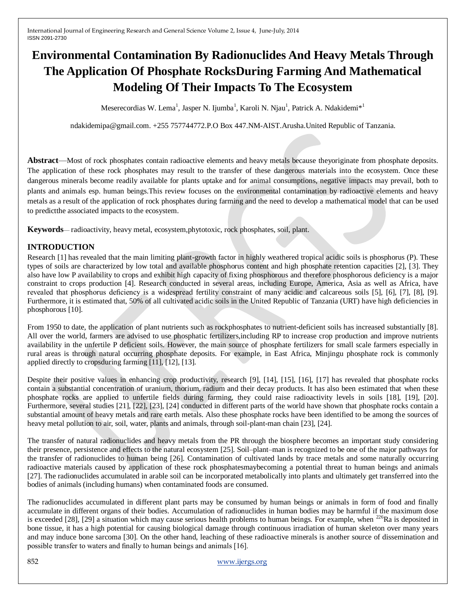# **Environmental Contamination By Radionuclides And Heavy Metals Through The Application Of Phosphate RocksDuring Farming And Mathematical Modeling Of Their Impacts To The Ecosystem**

Meserecordias W. Lema<sup>1</sup>, Jasper N. Ijumba<sup>1</sup>, Karoli N. Njau<sup>1</sup>, Patrick A. Ndakidemi<sup>\*1</sup>

ndakidemipa@gmail.com. +255 757744772.P.O Box 447.NM-AIST.Arusha.United Republic of Tanzania.

**Abstract**—Most of rock phosphates contain radioactive elements and heavy metals because theyoriginate from phosphate deposits. The application of these rock phosphates may result to the transfer of these dangerous materials into the ecosystem. Once these dangerous minerals become readily available for plants uptake and for animal consumptions, negative impacts may prevail, both to plants and animals esp. human beings.This review focuses on the environmental contamination by radioactive elements and heavy metals as a result of the application of rock phosphates during farming and the need to develop a mathematical model that can be used to predictthe associated impacts to the ecosystem.

**Keywords**— radioactivity, heavy metal, ecosystem,phytotoxic, rock phosphates, soil, plant.

# **INTRODUCTION**

Research [1] has revealed that the main limiting plant-growth factor in highly weathered tropical acidic soils is phosphorus (P). These types of soils are characterized by low total and available phosphorus content and high phosphate retention capacities [2], [3]. They also have low P availability to crops and exhibit high capacity of fixing phosphorous and therefore phosphorous deficiency is a major constraint to crops production [4]. Research conducted in several areas, including Europe, America, Asia as well as Africa, have revealed that phosphorus deficiency is a widespread fertility constraint of many acidic and calcareous soils [5], [6], [7], [8], [9]. Furthermore, it is estimated that, 50% of all cultivated acidic soils in the United Republic of Tanzania (URT) have high deficiencies in phosphorous [10].

From 1950 to date, the application of plant nutrients such as rockphosphates to nutrient-deficient soils has increased substantially [8]. All over the world, farmers are advised to use phosphatic fertilizers,including RP to increase crop production and improve nutrients availability in the unfertile P deficient soils. However, the main source of phosphate fertilizers for small scale farmers especially in rural areas is through natural occurring phosphate deposits. For example, in East Africa, Minjingu phosphate rock is commonly applied directly to cropsduring farming [11], [12], [13].

Despite their positive values in enhancing crop productivity, research [9], [14], [15], [16], [17] has revealed that phosphate rocks contain a substantial concentration of uranium, thorium, radium and their decay products. It has also been estimated that when these phosphate rocks are applied to unfertile fields during farming, they could raise radioactivity levels in soils [18], [19], [20]. Furthermore, several studies [21], [22], [23], [24] conducted in different parts of the world have shown that phosphate rocks contain a substantial amount of heavy metals and rare earth metals. Also these phosphate rocks have been identified to be among the sources of heavy metal pollution to air, soil, water, plants and animals, through soil-plant-man chain [23], [24].

The transfer of natural radionuclides and heavy metals from the PR through the biosphere becomes an important study considering their presence, persistence and effects to the natural ecosystem [25]. Soil–plant–man is recognized to be one of the major pathways for the transfer of radionuclides to human being [26]. Contamination of cultivated lands by trace metals and some naturally occurring radioactive materials caused by application of these rock phosphatesmaybecoming a potential threat to human beings and animals [27]. The radionuclides accumulated in arable soil can be incorporated metabolically into plants and ultimately get transferred into the bodies of animals (including humans) when contaminated foods are consumed.

The radionuclides accumulated in different plant parts may be consumed by human beings or animals in form of food and finally accumulate in different organs of their bodies. Accumulation of radionuclides in human bodies may be harmful if the maximum dose is exceeded [28], [29] a situation which may cause serious health problems to human beings. For example, when  $^{226}$ Ra is deposited in bone tissue, it has a high potential for causing biological damage through continuous irradiation of human skeleton over many years and may induce bone sarcoma [30]. On the other hand, leaching of these radioactive minerals is another source of dissemination and possible transfer to waters and finally to human beings and animals [16].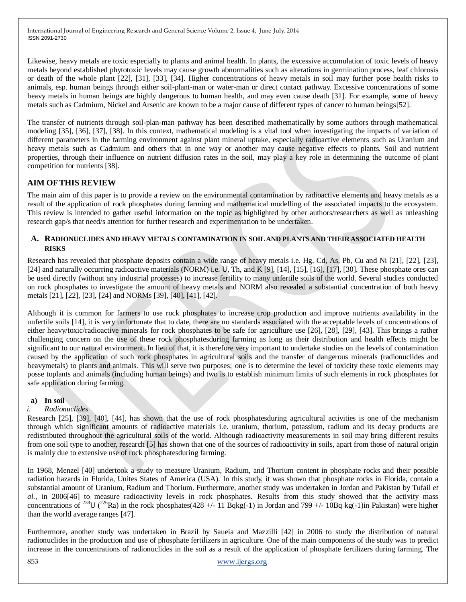Likewise, heavy metals are toxic especially to plants and animal health. In plants, the excessive accumulation of toxic levels of heavy metals beyond established phytotoxic levels may cause growth abnormalities such as alterations in germination process, leaf chlorosis or death of the whole plant [22], [31], [33], [34]. Higher concentrations of heavy metals in soil may further pose health risks to animals, esp. human beings through either soil-plant-man or water-man or direct contact pathway. Excessive concentrations of some heavy metals in human beings are highly dangerous to human health, and may even cause death [31]. For example, some of heavy metals such as Cadmium, Nickel and Arsenic are known to be a major cause of different types of cancer to human beings[52].

The transfer of nutrients through soil-plan-man pathway has been described mathematically by some authors through mathematical modeling [35], [36], [37], [38]. In this context, mathematical modeling is a vital tool when investigating the impacts of variation of different parameters in the farming environment against plant mineral uptake, especially radioactive elements such as Uranium and heavy metals such as Cadmium and others that in one way or another may cause negative effects to plants. Soil and nutrient properties, through their influence on nutrient diffusion rates in the soil, may play a key role in determining the outcome of plant competition for nutrients [38].

## **AIM OFTHIS REVIEW**

The main aim of this paper is to provide a review on the environmental contamination by radioactive elements and heavy metals as a result of the application of rock phosphates during farming and mathematical modelling of the associated impacts to the ecosystem. This review is intended to gather useful information on the topic as highlighted by other authors/researchers as well as unleashing research gap/s that need/s attention for further research and experimentation to be undertaken.

#### **A. RADIONUCLIDES AND HEAVY METALS CONTAMINATION IN SOIL AND PLANTS AND THEIR ASSOCIATED HEALTH RISKS**

Research has revealed that phosphate deposits contain a wide range of heavy metals i.e. Hg, Cd, As, Pb, Cu and Ni [21], [22], [23], [24] and naturally occurring radioactive materials (NORM) i.e. U, Th, and K [9], [14], [15], [16], [17], [30]. These phosphate ores can be used directly (without any industrial processes) to increase fertility to many unfertile soils of the world. Several studies conducted on rock phosphates to investigate the amount of heavy metals and NORM also revealed a substantial concentration of both heavy metals [21], [22], [23], [24] and NORMs [39], [40], [41], [42].

Although it is common for farmers to use rock phosphates to increase crop production and improve nutrients availability in the unfertile soils [14], it is very unfortunate that to date, there are no standards associated with the acceptable levels of concentrations of either heavy/toxic/radioactive minerals for rock phosphates to be safe for agriculture use [26], [28], [29], [43]. This brings a rather challenging concern on the use of these rock phosphatesduring farming as long as their distribution and health effects might be significant to our natural environment. In lieu of that, it is therefore very important to undertake studies on the levels of contamination caused by the application of such rock phosphates in agricultural soils and the transfer of dangerous minerals (radionuclides and heavymetals) to plants and animals. This will serve two purposes; one is to determine the level of toxicity these toxic elements may posse toplants and animals (including human beings) and two is to establish minimum limits of such elements in rock phosphates for safe application during farming.

#### **a) In soil**

### *i. Radionuclides*

Research [25], [39], [40], [44], has shown that the use of rock phosphatesduring agricultural activities is one of the mechanism through which significant amounts of radioactive materials i.e. uranium, thorium, potassium, radium and its decay products are redistributed throughout the agricultural soils of the world. Although radioactivity measurements in soil may bring different results from one soil type to another, research [5] has shown that one of the sources of radioactivity in soils, apart from those of natural origin is mainly due to extensive use of rock phosphatesduring farming.

In 1968, Menzel [40] undertook a study to measure Uranium, Radium, and Thorium content in phosphate rocks and their possible radiation hazards in Florida, Unites States of America (USA). In this study, it was shown that phosphate rocks in Florida, contain a substantial amount of Uranium, Radium and Thorium. Furthermore, another study was undertaken in Jordan and Pakistan by Tufail *et al.,* in 2006[46] to measure radioactivity levels in rock phosphates. Results from this study showed that the activity mass concentrations of <sup>238</sup>U (<sup>226</sup>Ra) in the rock phosphates(428 +/- 11 Bqkg(-1) in Jordan and 799 +/- 10Bq kg(-1) in Pakistan) were higher than the world average ranges [47].

Furthermore, another study was undertaken in Brazil by Saueia and Mazzilli [42] in 2006 to study the distribution of natural radionuclides in the production and use of phosphate fertilizers in agriculture. One of the main components of the study was to predict increase in the concentrations of radionuclides in the soil as a result of the application of phosphate fertilizers during farming. The

853 [www.ijergs.org](http://www.ijergs.org/)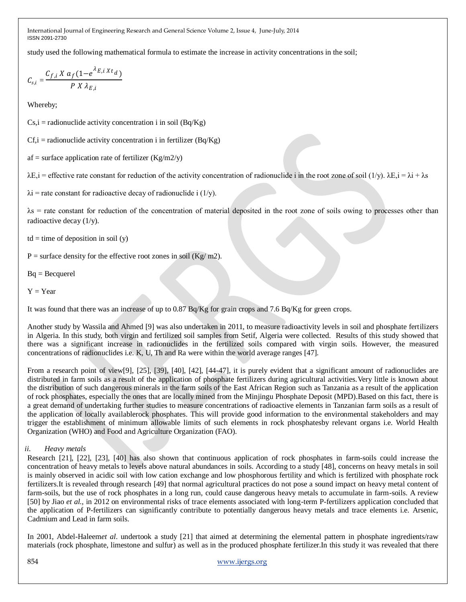study used the following mathematical formula to estimate the increase in activity concentrations in the soil;

$$
C_{s,i} = \frac{C_{f,i} X a_f (1 - e^{\lambda_{E,i} X t_d})}{P X \lambda_{E,i}}
$$

Whereby;

 $Cs$ ,  $i =$  radionuclide activity concentration  $i$  in soil (Bq/Kg)

 $Cf_i$  = radionuclide activity concentration i in fertilizer (Bq/Kg)

af = surface application rate of fertilizer  $(Kg/m2/y)$ 

 $\lambda E_i$  = effective rate constant for reduction of the activity concentration of radionuclide i in the root zone of soil (1/y).  $\lambda E_i = \lambda i + \lambda s$ 

 $\lambda$ i = rate constant for radioactive decay of radionuclide i (1/y).

λs = rate constant for reduction of the concentration of material deposited in the root zone of soils owing to processes other than radioactive decay (1/y).

 $td = time of deposition in soil (y)$ 

 $P =$  surface density for the effective root zones in soil (Kg/ m2).

Bq = Becquerel

 $Y = Year$ 

It was found that there was an increase of up to 0.87 Bq/Kg for grain crops and 7.6 Bq/Kg for green crops.

Another study by Wassila and Ahmed [9] was also undertaken in 2011, to measure radioactivity levels in soil and phosphate fertilizers in Algeria. In this study, both virgin and fertilized soil samples from Setif, Algeria were collected. Results of this study showed that there was a significant increase in radionuclides in the fertilized soils compared with virgin soils. However, the measured concentrations of radionuclides i.e. K, U, Th and Ra were within the world average ranges [47].

From a research point of view[9], [25], [39], [40], [42], [44-47], it is purely evident that a significant amount of radionuclides are distributed in farm soils as a result of the application of phosphate fertilizers during agricultural activities.Very little is known about the distribution of such dangerous minerals in the farm soils of the East African Region such as Tanzania as a result of the application of rock phosphates, especially the ones that are locally mined from the Minjingu Phosphate Deposit (MPD).Based on this fact, there is a great demand of undertaking further studies to measure concentrations of radioactive elements in Tanzanian farm soils as a result of the application of locally availablerock phosphates. This will provide good information to the environmental stakeholders and may trigger the establishment of minimum allowable limits of such elements in rock phosphatesby relevant organs i.e. World Health Organization (WHO) and Food and Agriculture Organization (FAO).

### *ii. Heavy metals*

Research [21], [22], [23], [40] has also shown that continuous application of rock phosphates in farm-soils could increase the concentration of heavy metals to levels above natural abundances in soils. According to a study [48], concerns on heavy metals in soil is mainly observed in acidic soil with low cation exchange and low phosphorous fertility and which is fertilized with phosphate rock fertilizers.It is revealed through research [49] that normal agricultural practices do not pose a sound impact on heavy metal content of farm-soils, but the use of rock phosphates in a long run, could cause dangerous heavy metals to accumulate in farm-soils. A review [50] by Jiao *et al.,* in 2012 on environmental risks of trace elements associated with long-term P-fertilizers application concluded that the application of P-fertilizers can significantly contribute to potentially dangerous heavy metals and trace elements i.e. Arsenic, Cadmium and Lead in farm soils.

In 2001, Abdel-Haleem*et al*. undertook a study [21] that aimed at determining the elemental pattern in phosphate ingredients/raw materials (rock phosphate, limestone and sulfur) as well as in the produced phosphate fertilizer.In this study it was revealed that there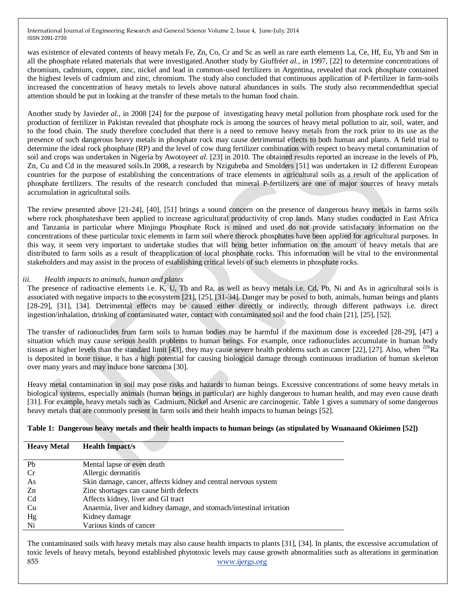was existence of elevated contents of heavy metals Fe, Zn, Co, Cr and Sc as well as rare earth elements La, Ce, Hf, Eu, Yb and Sm in all the phosphate related materials that were investigated.Another study by Giuffré*et al.,* in 1997, [22] to determine concentrations of chromium, cadmium, copper, zinc, nickel and lead in common-used fertilizers in Argentina, revealed that rock phosphate contained the highest levels of cadmium and zinc, chromium. The study also concluded that continuous application of P-fertilizer in farm-soils increased the concentration of heavy metals to levels above natural abundances in soils. The study also recommendedthat special attention should be put in looking at the transfer of these metals to the human food chain.

Another study by Javied*et al.,* in 2008 [24] for the purpose of investigating heavy metal pollution from phosphate rock used for the production of fertilizer in Pakistan revealed that phosphate rock is among the sources of heavy metal pollution to air, soil, water, and to the food chain. The study therefore concluded that there is a need to remove heavy metals from the rock prior to its use as the presence of such dangerous heavy metals in phosphate rock may cause detrimental effects to both human and plants. A field trial to determine the ideal rock phosphate (RP) and the level of cow dung fertilizer combination with respect to heavy metal contamination of soil and crops was undertaken in Nigeria by Awotoye*et al.* [23] in 2010. The obtained results reported an increase in the levels of Pb, Zn, Cu and Cd in the measured soils.In 2008, a research by Nziguheba and Smolders [51] was undertaken in 12 different European countries for the purpose of establishing the concentrations of trace elements in agricultural soils as a result of the application of phosphate fertilizers. The results of the research concluded that mineral P-fertilizers are one of major sources of heavy metals accumulation in agricultural soils.

The review presented above [21-24], [40], [51] brings a sound concern on the presence of dangerous heavy metals in farms soils where rock phosphateshave been applied to increase agricultural productivity of crop lands. Many studies conducted in East Africa and Tanzania in particular where Minjingu Phosphate Rock is mined and used do not provide satisfactory information on the concentrations of these particular toxic elements in farm soil where therock phosphates have been applied for agricultural purposes. In this way, it seem very important to undertake studies that will bring better information on the amount of heavy metals that are distributed to farm soils as a result of theapplication of local phosphate rocks. This information will be vital to the environmental stakeholders and may assist in the process of establishing critical levels of such elements in phosphate rocks.

#### *iii. Health impacts to animals, human and plants*

The presence of radioactive elements i.e. K, U, Th and Ra, as well as heavy metals i.e. Cd, Pb, Ni and As in agricultural soils is associated with negative impacts to the ecosystem [21], [25], [31-34]. Danger may be posed to both, animals, human beings and plants [28-29], [31], [34]. Detrimental effects may be caused either directly or indirectly, through different pathways i.e. direct ingestion/inhalation, drinking of contaminated water, contact with contaminated soil and the food chain [21], [25], [52].

The transfer of radionuclides from farm soils to human bodies may be harmful if the maximum dose is exceeded [28-29], [47] a situation which may cause serious health problems to human beings. For example, once radionuclides accumulate in human body tissues at higher levels than the standard limit [43], they may cause severe health problems such as cancer [22], [27]. Also, when  $^{226}Ra$ is deposited in bone tissue, it has a high potential for causing biological damage through continuous irradiation of human skeleton over many years and may induce bone sarcoma [30].

Heavy metal contamination in soil may pose risks and hazards to human beings. Excessive concentrations of some heavy metals in biological systems, especially animals (human beings in particular) are highly dangerous to human health, and may even cause death [31]. For example, heavy metals such as Cadmium, Nickel and Arsenic are carcinogenic. Table 1 gives a summary of some dangerous heavy metals that are commonly present in farm soils and their health impacts to human beings [52].

#### **Table 1: Dangerous heavy metals and their health impacts to human beings (as stipulated by Wuanaand Okieimen [52])**

| <b>Heavy Metal</b> | <b>Health Impact/s</b>                                              |
|--------------------|---------------------------------------------------------------------|
|                    |                                                                     |
| Pb                 | Mental lapse or even death                                          |
| Cr                 | Allergic dermatitis                                                 |
| As                 | Skin damage, cancer, affects kidney and central nervous system      |
| Zn                 | Zinc shortages can cause birth defects                              |
| C <sub>d</sub>     | Affects kidney, liver and GI tract                                  |
| Cu                 | Anaemia, liver and kidney damage, and stomach/intestinal irritation |
| Hg                 | Kidney damage                                                       |
| Ni                 | Various kinds of cancer                                             |

855 [www.ijergs.org](http://www.ijergs.org/) The contaminated soils with heavy metals may also cause health impacts to plants [31], [34]. In plants, the excessive accumulation of toxic levels of heavy metals, beyond established phytotoxic levels may cause growth abnormalities such as alterations in germination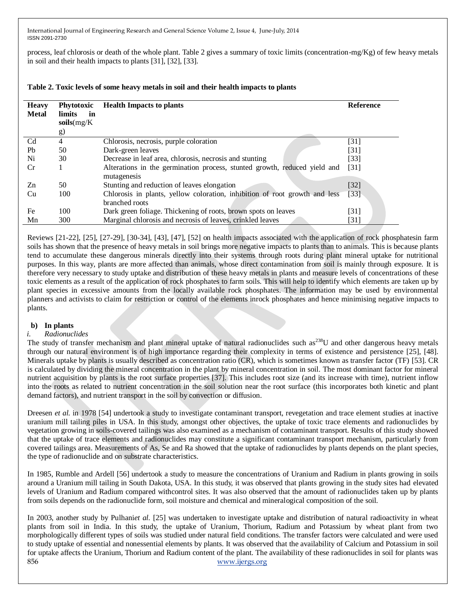process, leaf chlorosis or death of the whole plant. Table 2 gives a summary of toxic limits (concentration-mg/Kg) of few heavy metals in soil and their health impacts to plants [31], [32], [33].

| <b>Heavy</b><br><b>Metal</b> | Phytotoxic<br>limits<br>in<br>$\textbf{soils}(\text{mg/K})$<br>g) | <b>Health Impacts to plants</b>                                                          | <b>Reference</b>  |
|------------------------------|-------------------------------------------------------------------|------------------------------------------------------------------------------------------|-------------------|
| C <sub>d</sub>               | 4                                                                 | Chlorosis, necrosis, purple coloration                                                   | $[31]$            |
| Pb                           | 50                                                                | Dark-green leaves                                                                        | $\left[31\right]$ |
| Ni                           | 30                                                                | Decrease in leaf area, chlorosis, necrosis and stunting                                  | $[33]$            |
| Cr                           |                                                                   | Alterations in the germination process, stunted growth, reduced yield and<br>mutagenesis | $[31]$            |
| Zn                           | 50                                                                | Stunting and reduction of leaves elongation                                              | $[32]$            |
| Cu                           | 100                                                               | Chlorosis in plants, yellow coloration, inhibition of root growth and less               | [33]              |
|                              |                                                                   | branched roots                                                                           |                   |
| Fe                           | 100                                                               | Dark green foliage. Thickening of roots, brown spots on leaves                           | [31]              |
| Mn                           | 300                                                               | Marginal chlorosis and necrosis of leaves, crinkled leaves                               | [31]              |

# **Table 2. Toxic levels of some heavy metals in soil and their health impacts to plants**

Reviews [21-22], [25], [27-29], [30-34], [43], [47], [52] on health impacts associated with the application of rock phosphatesin farm soils has shown that the presence of heavy metals in soil brings more negative impacts to plants than to animals. This is because plants tend to accumulate these dangerous minerals directly into their systems through roots during plant mineral uptake for nutritional purposes. In this way, plants are more affected than animals, whose direct contamination from soil is mainly through exposure. It is therefore very necessary to study uptake and distribution of these heavy metals in plants and measure levels of concentrations of these toxic elements as a result of the application of rock phosphates to farm soils. This will help to identify which elements are taken up by plant species in excessive amounts from the locally available rock phosphates. The information may be used by environmental planners and activists to claim for restriction or control of the elements inrock phosphates and hence minimising negative impacts to plants.

### **b) In plants**

### *i. Radionuclides*

The study of transfer mechanism and plant mineral uptake of natural radionuclides such as<sup>238</sup>U and other dangerous heavy metals through our natural environment is of high importance regarding their complexity in terms of existence and persistence [25], [48]. Minerals uptake by plants is usually described as concentration ratio (CR), which is sometimes known as transfer factor (TF) [53]. CR is calculated by dividing the mineral concentration in the plant by mineral concentration in soil. The most dominant factor for mineral nutrient acquisition by plants is the root surface properties [37]. This includes root size (and its increase with time), nutrient inflow into the roots as related to nutrient concentration in the soil solution near the root surface (this incorporates both kinetic and plant demand factors), and nutrient transport in the soil by convection or diffusion.

Dreesen *et al.* in 1978 [54] undertook a study to investigate contaminant transport, revegetation and trace element studies at inactive uranium mill tailing piles in USA. In this study, amongst other objectives, the uptake of toxic trace elements and radionuclides by vegetation growing in soils-covered tailings was also examined as a mechanism of contaminant transport. Results of this study showed that the uptake of trace elements and radionuclides may constitute a significant contaminant transport mechanism, particularly from covered tailings area. Measurements of As, Se and Ra showed that the uptake of radionuclides by plants depends on the plant species, the type of radionuclide and on substrate characteristics.

In 1985, Rumble and Ardell [56] undertook a study to measure the concentrations of Uranium and Radium in plants growing in soils around a Uranium mill tailing in South Dakota, USA. In this study, it was observed that plants growing in the study sites had elevated levels of Uranium and Radium compared withcontrol sites. It was also observed that the amount of radionuclides taken up by plants from soils depends on the radionuclide form, soil moisture and chemical and mineralogical composition of the soil.

856 [www.ijergs.org](http://www.ijergs.org/) In 2003, another study by Pulhani*et al.* [25] was undertaken to investigate uptake and distribution of natural radioactivity in wheat plants from soil in India. In this study, the uptake of Uranium, Thorium, Radium and Potassium by wheat plant from two morphologically different types of soils was studied under natural field conditions. The transfer factors were calculated and were used to study uptake of essential and nonessential elements by plants. It was observed that the availability of Calcium and Potassium in soil for uptake affects the Uranium, Thorium and Radium content of the plant. The availability of these radionuclides in soil for plants was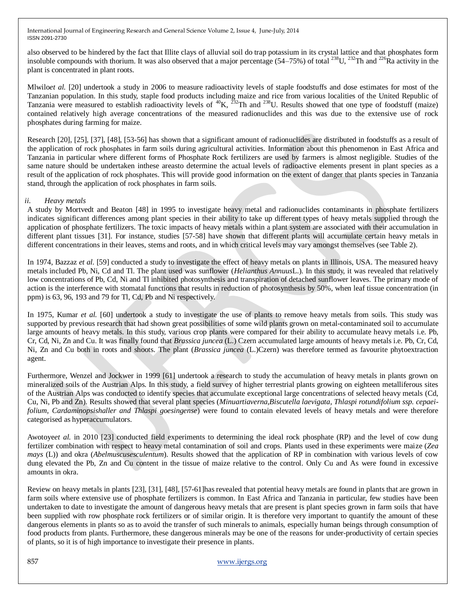also observed to be hindered by the fact that Illite clays of alluvial soil do trap potassium in its crystal lattice and that phosphates form insoluble compounds with thorium. It was also observed that a major percentage (54–75%) of total <sup>238</sup>U, <sup>232</sup>Th and <sup>226</sup>Ra activity in the plant is concentrated in plant roots.

Mlwilo*et al.* [20] undertook a study in 2006 to measure radioactivity levels of staple foodstuffs and dose estimates for most of the Tanzanian population. In this study, staple food products including maize and rice from various localities of the United Republic of Tanzania were measured to establish radioactivity levels of  ${}^{40}K$ ,  ${}^{232}Th$  and  ${}^{238}U$ . Results showed that one type of foodstuff (maize) contained relatively high average concentrations of the measured radionuclides and this was due to the extensive use of rock phosphates during farming for maize.

Research [20], [25], [37], [48], [53-56] has shown that a significant amount of radionuclides are distributed in foodstuffs as a result of the application of rock phosphates in farm soils during agricultural activities. Information about this phenomenon in East Africa and Tanzania in particular where different forms of Phosphate Rock fertilizers are used by farmers is almost negligible. Studies of the same nature should be undertaken inthese areasto determine the actual levels of radioactive elements present in plant species as a result of the application of rock phosphates. This will provide good information on the extent of danger that plants species in Tanzania stand, through the application of rock phosphates in farm soils.

#### *ii. Heavy metals*

A study by Mortvedt and Beaton [48] in 1995 to investigate heavy metal and radionuclides contaminants in phosphate fertilizers indicates significant differences among plant species in their ability to take up different types of heavy metals supplied through the application of phosphate fertilizers. The toxic impacts of heavy metals within a plant system are associated with their accumulation in different plant tissues [31]. For instance, studies [57-58] have shown that different plants will accumulate certain heavy metals in different concentrations in their leaves, stems and roots, and in which critical levels may vary amongst themselves (see Table 2).

In 1974, Bazzaz *et al.* [59] conducted a study to investigate the effect of heavy metals on plants in Illinois, USA. The measured heavy metals included Pb, Ni, Cd and Tl. The plant used was sunflower (*Helianthus Annuus*L.). In this study, it was revealed that relatively low concentrations of Pb, Cd, Ni and Tl inhibited photosynthesis and transpiration of detached sunflower leaves. The primary mode of action is the interference with stomatal functions that results in reduction of photosynthesis by 50%, when leaf tissue concentration (in ppm) is 63, 96, 193 and 79 for Tl, Cd, Pb and Ni respectively.

In 1975, Kumar *et al.* [60] undertook a study to investigate the use of plants to remove heavy metals from soils. This study was supported by previous research that had shown great possibilities of some wild plants grown on metal-contaminated soil to accumulate large amounts of heavy metals. In this study, various crop plants were compared for their ability to accumulate heavy metals i.e. Pb, Cr, Cd, Ni, Zn and Cu. It was finally found that *Brassica juncea* (L.) Czern accumulated large amounts of heavy metals i.e. Pb, Cr, Cd, Ni, Zn and Cu both in roots and shoots. The plant (*Brassica juncea* (L.)Czern) was therefore termed as favourite phytoextraction agent.

Furthermore, Wenzel and Jockwer in 1999 [61] undertook a research to study the accumulation of heavy metals in plants grown on mineralized soils of the Austrian Alps. In this study, a field survey of higher terrestrial plants growing on eighteen metalliferous sites of the Austrian Alps was conducted to identify species that accumulate exceptional large concentrations of selected heavy metals (Cd, Cu, Ni, Pb and Zn). Results showed that several plant species (*Minuartiaverna*,*Biscutella laevigata*, *Thlaspi rotundifolium ssp. cepaeifolium, Cardaminopsishaller and Thlaspi goesingense*) were found to contain elevated levels of heavy metals and were therefore categorised as hyperaccumulators.

Awotoye*et al.* in 2010 [23] conducted field experiments to determining the ideal rock phosphate (RP) and the level of cow dung fertilizer combination with respect to heavy metal contamination of soil and crops. Plants used in these experiments were maize (*Zea mays* (L)) and okra (*Abelmuscusesculentum*). Results showed that the application of RP in combination with various levels of cow dung elevated the Pb, Zn and Cu content in the tissue of maize relative to the control. Only Cu and As were found in excessive amounts in okra.

Review on heavy metals in plants [23], [31], [48], [57-61]has revealed that potential heavy metals are found in plants that are grown in farm soils where extensive use of phosphate fertilizers is common. In East Africa and Tanzania in particular, few studies have been undertaken to date to investigate the amount of dangerous heavy metals that are present is plant species grown in farm soils that have been supplied with row phosphate rock fertilizers or of similar origin. It is therefore very important to quantify the amount of these dangerous elements in plants so as to avoid the transfer of such minerals to animals, especially human beings through consumption of food products from plants. Furthermore, these dangerous minerals may be one of the reasons for under-productivity of certain species of plants, so it is of high importance to investigate their presence in plants.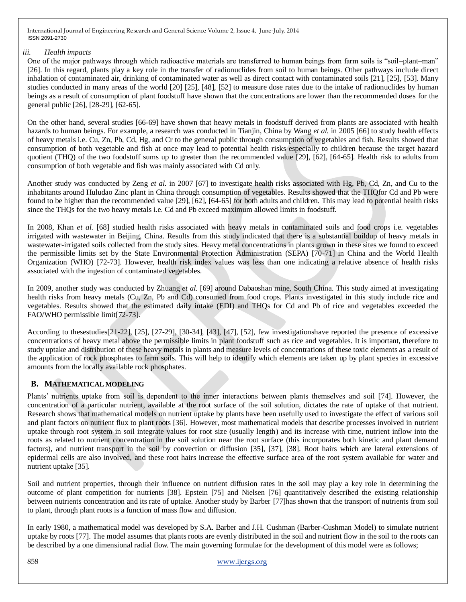#### *iii. Health impacts*

One of the major pathways through which radioactive materials are transferred to human beings from farm soils is "soil–plant–man" [26]. In this regard, plants play a key role in the transfer of radionuclides from soil to human beings. Other pathways include direct inhalation of contaminated air, drinking of contaminated water as well as direct contact with contaminated soils [21], [25], [53]. Many studies conducted in many areas of the world [20] [25], [48], [52] to measure dose rates due to the intake of radionuclides by human beings as a result of consumption of plant foodstuff have shown that the concentrations are lower than the recommended doses for the general public [26], [28-29], [62-65].

On the other hand, several studies [66-69] have shown that heavy metals in foodstuff derived from plants are associated with health hazards to human beings. For example, a research was conducted in Tianjin, China by Wang *et al.* in 2005 [66] to study health effects of heavy metals i.e. Cu, Zn, Pb, Cd, Hg, and Cr to the general public through consumption of vegetables and fish. Results showed that consumption of both vegetable and fish at once may lead to potential health risks especially to children because the target hazard quotient (THQ) of the two foodstuff sums up to greater than the recommended value [29], [62], [64-65]. Health risk to adults from consumption of both vegetable and fish was mainly associated with Cd only.

Another study was conducted by Zeng *et al.* in 2007 [67] to investigate health risks associated with Hg, Pb, Cd, Zn, and Cu to the inhabitants around Huludao Zinc plant in China through consumption of vegetables. Results showed that the THQfor Cd and Pb were found to be higher than the recommended value [29], [62], [64-65] for both adults and children. This may lead to potential health risks since the THQs for the two heavy metals i.e. Cd and Pb exceed maximum allowed limits in foodstuff.

In 2008, Khan *et al.* [68] studied health risks associated with heavy metals in contaminated soils and food crops i.e. vegetables irrigated with wastewater in Beijing, China. Results from this study indicated that there is a substantial buildup of heavy metals in wastewater-irrigated soils collected from the study sites. Heavy metal concentrations in plants grown in these sites we found to exceed the permissible limits set by the State Environmental Protection Administration (SEPA) [70-71] in China and the World Health Organization (WHO) [72-73]. However, health risk index values was less than one indicating a relative absence of health risks associated with the ingestion of contaminated vegetables.

In 2009, another study was conducted by Zhuang *et al.* [69] around Dabaoshan mine, South China. This study aimed at investigating health risks from heavy metals (Cu, Zn, Pb and Cd) consumed from food crops. Plants investigated in this study include rice and vegetables. Results showed that the estimated daily intake (EDI) and THQs for Cd and Pb of rice and vegetables exceeded the FAO/WHO permissible limit[72-73].

According to thesestudies[21-22], [25], [27-29], [30-34], [43], [47], [52], few investigationshave reported the presence of excessive concentrations of heavy metal above the permissible limits in plant foodstuff such as rice and vegetables. It is important, therefore to study uptake and distribution of these heavy metals in plants and measure levels of concentrations of these toxic elements as a result of the application of rock phosphates to farm soils. This will help to identify which elements are taken up by plant species in excessive amounts from the locally available rock phosphates.

# **B. MATHEMATICAL MODELING**

Plants' nutrients uptake from soil is dependent to the inner interactions between plants themselves and soil [74]. However, the concentration of a particular nutrient, available at the root surface of the soil solution, dictates the rate of uptake of that nutrient. Research shows that mathematical models on nutrient uptake by plants have been usefully used to investigate the effect of various soil and plant factors on nutrient flux to plant roots [36]. However, most mathematical models that describe processes involved in nutrient uptake through root system in soil integrate values for root size (usually length) and its increase with time, nutrient inflow into the roots as related to nutrient concentration in the soil solution near the root surface (this incorporates both kinetic and plant demand factors), and nutrient transport in the soil by convection or diffusion [35], [37], [38]. Root hairs which are lateral extensions of epidermal cells are also involved, and these root hairs increase the effective surface area of the root system available for water and nutrient uptake [35].

Soil and nutrient properties, through their influence on nutrient diffusion rates in the soil may play a key role in determining the outcome of plant competition for nutrients [38]. Epstein [75] and Nielsen [76] quantitatively described the existing relationship between nutrients concentration and its rate of uptake. Another study by Barber [77]has shown that the transport of nutrients from soil to plant, through plant roots is a function of mass flow and diffusion.

In early 1980, a mathematical model was developed by S.A. Barber and J.H. Cushman (Barber-Cushman Model) to simulate nutrient uptake by roots [77]. The model assumes that plants roots are evenly distributed in the soil and nutrient flow in the soil to the roots can be described by a one dimensional radial flow. The main governing formulae for the development of this model were as follows;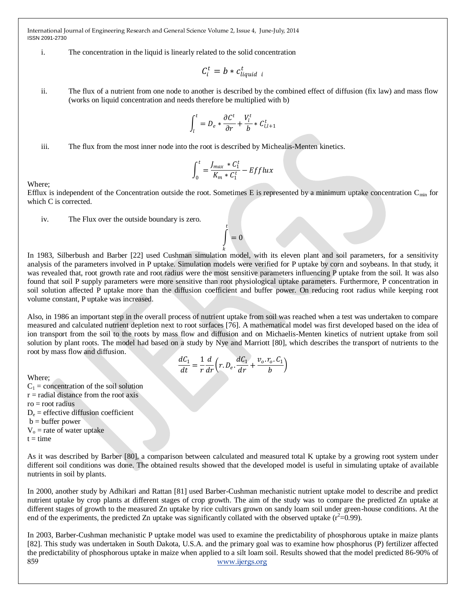#### i. The concentration in the liquid is linearly related to the solid concentration

$$
C_i^t = b * c_{liquid\ i}^t
$$

ii. The flux of a nutrient from one node to another is described by the combined effect of diffusion (fix law) and mass flow (works on liquid concentration and needs therefore be multiplied with b)

$$
\int_{l}^{t} = D_e * \frac{\partial C^t}{\partial r} + \frac{V_l^t}{b} * C_{l,l+1}^t
$$

iii. The flux from the most inner node into the root is described by Michealis-Menten kinetics.

$$
\int_0^t = \frac{J_{max} * C_1^t}{K_m * C_1^t} - Efflux
$$

Where;

Efflux is independent of the Concentration outside the root. Sometimes E is represented by a minimum uptake concentration  $C_{min}$  for which C is corrected.

> $= 0$  $\bar{t}$

iv. The Flux over the outside boundary is zero.

In 1983, Silberbush and Barber [22] used Cushman simulation model, with its eleven plant and soil parameters, for a sensitivity analysis of the parameters involved in P uptake. Simulation models were verified for P uptake by corn and soybeans. In that study, it was revealed that, root growth rate and root radius were the most sensitive parameters influencing P uptake from the soil. It was also found that soil P supply parameters were more sensitive than root physiological uptake parameters. Furthermore, P concentration in soil solution affected P uptake more than the diffusion coefficient and buffer power. On reducing root radius while keeping root volume constant, P uptake was increased.

Also, in 1986 an important step in the overall process of nutrient uptake from soil was reached when a test was undertaken to compare measured and calculated nutrient depletion next to root surfaces [76]. A mathematical model was first developed based on the idea of ion transport from the soil to the roots by mass flow and diffusion and on Michaelis-Menten kinetics of nutrient uptake from soil solution by plant roots. The model had based on a study by Nye and Marriott [80], which describes the transport of nutrients to the root by mass flow and diffusion.

$$
\frac{dC_1}{dt} = \frac{1}{r}\frac{d}{dr}\left(r.D_e.\frac{dC_1}{dr} + \frac{v_o.r_o.C_1}{b}\right)
$$

Where;

 $C_1$  = concentration of the soil solution

 $r =$  radial distance from the root axis

 $ro = root$  radius

 $D_e$  = effective diffusion coefficient

 $b = buffer power$ 

 $V_0$  = rate of water uptake

 $t = time$ 

As it was described by Barber [80], a comparison between calculated and measured total K uptake by a growing root system under different soil conditions was done. The obtained results showed that the developed model is useful in simulating uptake of available nutrients in soil by plants.

In 2000, another study by Adhikari and Rattan [81] used Barber-Cushman mechanistic nutrient uptake model to describe and predict nutrient uptake by crop plants at different stages of crop growth. The aim of the study was to compare the predicted Zn uptake at different stages of growth to the measured Zn uptake by rice cultivars grown on sandy loam soil under green-house conditions. At the end of the experiments, the predicted Zn uptake was significantly collated with the observed uptake  $(r^2=0.99)$ .

859 [www.ijergs.org](http://www.ijergs.org/) In 2003, Barber-Cushman mechanistic P uptake model was used to examine the predictability of phosphorous uptake in maize plants [82]. This study was undertaken in South Dakota, U.S.A. and the primary goal was to examine how phosphorus (P) fertilizer affected the predictability of phosphorous uptake in maize when applied to a silt loam soil. Results showed that the model predicted 86-90% of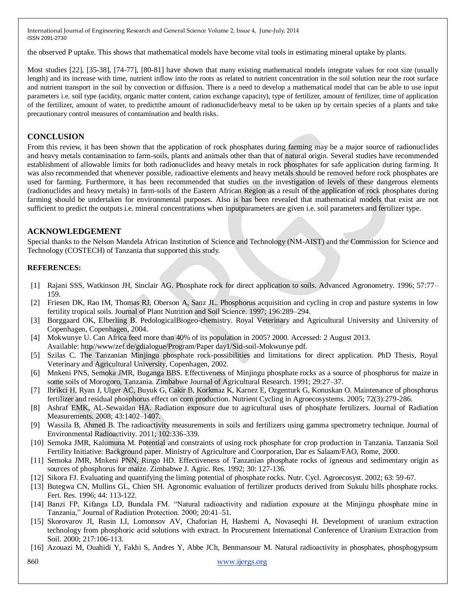the observed P uptake. This shows that mathematical models have become vital tools in estimating mineral uptake by plants.

Most studies [22], [35-38], [74-77], [80-81] have shown that many existing mathematical models integrate values for root size (usually length) and its increase with time, nutrient inflow into the roots as related to nutrient concentration in the soil solution near the root surface and nutrient transport in the soil by convection or diffusion. There is a need to develop a mathematical model that can be able to use input parameters i.e. soil type (acidity, organic matter content, cation exchange capacity), type of fertilizer, amount of fertilizer, time of application of the fertilizer, amount of water, to predictthe amount of radionuclide/heavy metal to be taken up by certain species of a plants and take precautionary control measures of contamination and health risks.

### **CONCLUSION**

From this review, it has been shown that the application of rock phosphates during farming may be a major source of radionuclides and heavy metals contamination to farm-soils, plants and animals other than that of natural origin. Several studies have recommended establishment of allowable limits for both radionuclides and heavy metals in rock phosphates for safe application during farming. It was also recommended that whenever possible, radioactive elements and heavy metals should be removed before rock phosphates are used for farming. Furthermore, it has been recommended that studies on the investigation of levels of these dangerous elements (radionuclides and heavy metals) in farm-soils of the Eastern African Region as a result of the application of rock phosphates during farming should be undertaken for environmental purposes. Also is has been revealed that mathematical models that exist are not sufficient to predict the outputs i.e. mineral concentrations when inputparameters are given i.e. soil parameters and fertilizer type.

### **ACKNOWLEDGEMENT**

Special thanks to the Nelson Mandela African Institution of Science and Technology (NM-AIST) and the Commission for Science and Technology (COSTECH) of Tanzania that supported this study.

#### **REFERENCES:**

- [1] Rajani SSS, Watkinson JH, Sinclair AG. Phosphate rock for direct application to soils. Advanced Agronometry. 1996; 57:77– 159.
- [2] Friesen DK, Rao IM, Thomas RJ, Oberson A, Sanz JL. Phosphorus acquisition and cycling in crop and pasture systems in low fertility tropical soils. Journal of Plant Nutrition and Soil Science. 1997; 196:289–294.
- [3] Borggaard OK, Elberling B. PedologicalBiogeo-chemistry. Royal Veterinary and Agricultural University and University of Copenhagen, Copenhagen, 2004.
- [4] Mokwunye U. Can Africa feed more than 40% of its population in 2005? 2000. Accessed: 2 August 2013. Available: http//www/zef.de/gdialogue/Program/Paper day1/Sid-soil-Mokwunye pdf.
- [5] Szilas C. The Tanzanian Minjingu phosphate rock-possibilities and limitations for direct application. PhD Thesis, Royal Veterinary and Agricultural University, Copenhagen, 2002.
- [6] Mnkeni PNS, Semoka JMR, Buganga BBS. Effectiveness of Minjingu phosphate rocks as a source of phosphorus for maize in some soils of Morogoro, Tanzania. Zimbabwe Journal of Agricultural Research. 1991; 29:27–37.
- [7] Ibrikci H, Ryan J, Ulger AC, Buyuk G, Cakir B, Korkmaz K, Karnez E, Ozgenturk G, Konuskan O. Maintenance of phosphorus fertilizer and residual phosphorus effect on corn production. Nutrient Cycling in Agroecosystems. 2005; 72(3):279-286.
- [8] Ashraf EMK, AL-Sewaidan HA. Radiation exposure due to agricultural uses of phosphate fertilizers. Journal of Radiation Measurements. 2008; 43:1402–1407.
- [9] Wassila B, Ahmed B. The radioactivity measurements in soils and fertilizers using gamma spectrometry technique. Journal of Environmental Radioactivity. 2011; 102:336-339.
- [10] Semoka JMR, Kalumuna M. Potential and constraints of using rock phosphate for crop production in Tanzania. Tanzania Soil Fertility Initiative: Background paper. Ministry of Agriculture and Coorporation, Dar es Salaam/FAO, Rome, 2000.
- [11] Semoka JMR, Mnkeni PNN, Ringo HD. Effectiveness of Tanzanian phosphate rocks of igneous and sedimentary origin as sources of phosphorus for maize. Zimbabwe J. Agric. Res. 1992; 30: 127-136.
- [12] Sikora FJ. Evaluating and quantifying the liming potential of phosphate rocks. Nutr. Cycl. Agroecosyst. 2002; 63: 59-67.
- [13] Butegwa CN, Mullins GL, Chien SH. Agronomic evaluation of fertilizer products derived from Sukulu hills phosphate rocks. Fert. Res. 1996; 44: 113-122.
- [14] Banzi FP, Kifanga LD, Bundala FM. "Natural radioactivity and radiation exposure at the Minjingu phosphate mine in Tanzania," Journal of Radiation Protection. 2000; 20:41–51.
- [15] Skorovarov JI, Rusin LI, Lomonsov AV, Chaforian H, Hashemi A, Novaseqhi H. Development of uranium extraction technology from phosphoric acid solutions with extract. In Procurement International Conference of Uranium Extraction from Soil. 2000; 217:106-113.
- [16] Azouazi M, Ouahidi Y, Fakhi S, Andres Y, Abbe JCh, Benmansour M. Natural radioactivity in phosphates, phosphogypsum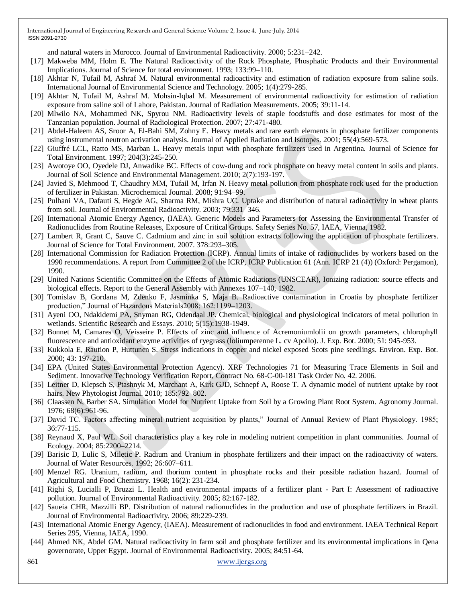and natural waters in Morocco. Journal of Environmental Radioactivity. 2000; 5:231–242.

- [17] Makweba MM, Holm E. The Natural Radioactivity of the Rock Phosphate, Phosphatic Products and their Environmental Implications. Journal of Science for total environment. 1993; 133:99–110.
- [18] Akhtar N, Tufail M, Ashraf M. Natural environmental radioactivity and estimation of radiation exposure from saline soils. International Journal of Environmental Science and Technology. 2005; 1(4):279-285.
- [19] Akhtar N, Tufail M, Ashraf M. Mohsin-Iqbal M. Measurement of environmental radioactivity for estimation of radiation exposure from saline soil of Lahore, Pakistan. Journal of Radiation Measurements. 2005; 39:11-14.
- [20] Mlwilo NA, Mohammed NK, Spyrou NM. Radioactivity levels of staple foodstuffs and dose estimates for most of the Tanzanian population. Journal of Radiological Protection. 2007; 27:471-480.
- [21] Abdel-Haleem AS, Sroor A, El-Bahi SM, Zohny E. Heavy metals and rare earth elements in phosphate fertilizer components using instrumental neutron activation analysis. Journal of Applied Radiation and Isotopes. 2001; 55(4):569-573.
- [22] Giuffré LCL, Ratto MS, Marban L. Heavy metals input with phosphate fertilizers used in Argentina. Journal of Science for Total Environment. 1997; 204(3):245-250.
- [23] Awotoye OO, Oyedele DJ, Anwadike BC. Effects of cow-dung and rock phosphate on heavy metal content in soils and plants. Journal of Soil Science and Environmental Management. 2010; 2(7):193-197.
- [24] Javied S, Mehmood T, Chaudhry MM, Tufail M, Irfan N. Heavy metal pollution from phosphate rock used for the production of fertilizer in Pakistan. Microchemical Journal. 2008; 91:94–99.
- [25] Pulhani VA, Dafauti S, Hegde AG, Sharma RM, Mishra UC. Uptake and distribution of natural radioactivity in wheat plants from soil. Journal of Environmental Radioactivity. 2003; 79:331–346.
- [26] International Atomic Energy Agency, (IAEA). Generic Models and Parameters for Assessing the Environmental Transfer of Radionuclides from Routine Releases, Exposure of Critical Groups. Safety Series No. 57, IAEA, Vienna, 1982.
- [27] Lambert R, Grant C, Sauve C. Cadmium and zinc in soil solution extracts following the application of phosphate fertilizers. Journal of Science for Total Environment. 2007. 378:293–305.
- [28] International Commission for Radiation Protection (ICRP). Annual limits of intake of radionuclides by workers based on the 1990 recommendations. A report from Committee 2 of the ICRP, ICRP Publication 61 (Ann. ICRP 21 (4)) (Oxford: Pergamon), 1990.
- [29] United Nations Scientific Committee on the Effects of Atomic Radiations (UNSCEAR), Ionizing radiation: source effects and biological effects. Report to the General Assembly with Annexes 107–140, 1982.
- [30] Tomislav B, Gordana M, Zdenko F, Jasminka S, Maja B. Radioactive contamination in Croatia by phosphate fertilizer production," Journal of Hazardous Materials2008; 162:1199–1203.
- [31] Ayeni OO, Ndakidemi PA, Snyman RG, Odendaal JP. Chemical, biological and physiological indicators of metal pollution in wetlands. Scientific Research and Essays. 2010; 5(15):1938-1949.
- [32] Bonnet M, Camares O, Veisseire P. Effects of zinc and influence of Acremoniumlolii on growth parameters, chlorophyll fluorescence and antioxidant enzyme activities of ryegrass (loliumperenne L. cv Apollo). J. Exp. Bot. 2000; 51: 945-953.
- [33] Kukkola E, Raution P, Huttunen S. Stress indications in copper and nickel exposed Scots pine seedlings. Environ. Exp. Bot. 2000; 43: 197-210.
- [34] EPA (United States Environmental Protection Agency). XRF Technologies 71 for Measuring Trace Elements in Soil and Sediment. Innovative Technology Verification Report, Contract No. 68-C-00-181 Task Order No. 42. 2006.
- [35] Leitner D, Klepsch S, Ptashnyk M, Marchant A, Kirk GJD, Schnepf A, Roose T. A dynamic model of nutrient uptake by root hairs. New Phytologist Journal. 2010; 185:792–802.
- [36] Claassen N, Barber SA. Simulation Model for Nutrient Uptake from Soil by a Growing Plant Root System. Agronomy Journal. 1976; 68(6):961-96.
- [37] David TC. Factors affecting mineral nutrient acquisition by plants," Journal of Annual Review of Plant Physiology. 1985; 36:77-115.
- [38] Reynaud X, Paul WL. Soil characteristics play a key role in modeling nutrient competition in plant communities. Journal of Ecology. 2004; 85:2200–2214.
- [39] Barisic D, Lulic S, Miletic P. Radium and Uranium in phosphate fertilizers and their impact on the radioactivity of waters. Journal of Water Resources. 1992; 26:607–611.
- [40] Menzel RG. Uranium, radium, and thorium content in phosphate rocks and their possible radiation hazard. Journal of Agricultural and Food Chemistry. 1968; 16(2): 231-234.
- [41] Righi S, Lucialli P, Bruzzi L. Health and environmental impacts of a fertilizer plant Part I: Assessment of radioactive pollution. Journal of Environmental Radioactivity. 2005; 82:167-182.
- [42] Saueia CHR, Mazzilli BP. Distribution of natural radionuclides in the production and use of phosphate fertilizers in Brazil. Journal of Environmental Radioactivity. 2006; 89:229-239.
- [43] International Atomic Energy Agency, (IAEA). Measurement of radionuclides in food and environment. IAEA Technical Report Series 295, Vienna, IAEA, 1990.
- [44] Ahmed NK, Abdel GM. Natural radioactivity in farm soil and phosphate fertilizer and its environmental implications in Qena governorate, Upper Egypt. Journal of Environmental Radioactivity. 2005; 84:51-64.

861 [www.ijergs.org](http://www.ijergs.org/)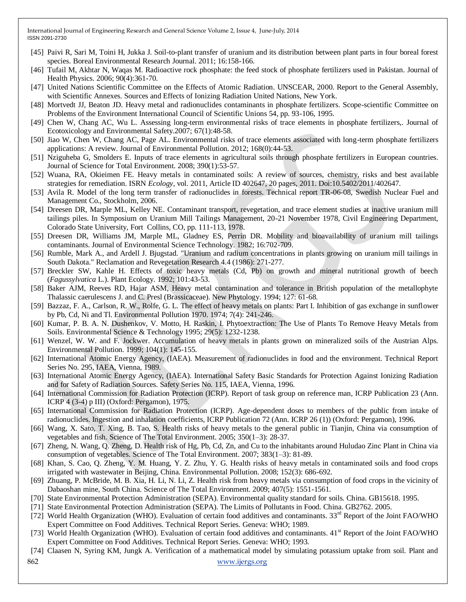- [45] Paivi R, Sari M, Toini H, Jukka J. Soil-to-plant transfer of uranium and its distribution between plant parts in four boreal forest species. Boreal Environmental Research Journal. 2011; 16:158-166.
- [46] [Tufail M,](http://www.unboundmedicine.com/medline/?st=M&author=Tufail%20M) [Akhtar N,](http://www.unboundmedicine.com/medline/?st=M&author=Akhtar%20N) [Waqas M.](http://www.unboundmedicine.com/medline/?st=M&author=Waqas%20M) Radioactive rock phosphate: the feed stock of phosphate fertilizers used in Pakistan. Journal of Health Physics. 2006; 90(4):361-70.
- [47] United Nations Scientific Committee on the Effects of Atomic Radiation. UNSCEAR, 2000. Report to the General Assembly, with Scientific Annexes. Sources and Effects of Ionizing Radiation United Nations, New York.
- [48] Mortvedt JJ, Beaton JD. Heavy metal and radionuclides contaminants in phosphate fertilizers. Scope-scientific Committee on Problems of the Environment International Council of Scientific Unions 54, pp. 93-106, 1995.
- [49] Chen W, Chang AC, Wu L. Assessing long-term environmental risks of trace elements in phosphate fertilizers,. Journal of Ecotoxicology and Environmental Safety.2007; 67(1):48-58.
- [50] Jiao W, Chen W, Chang AC, Page AL. Environmental risks of trace elements associated with long-term phosphate fertilizers applications: A review. Journal of Environmental Pollution. 2012; 168(0):44-53.
- [51] Nziguheba G, Smolders E. Inputs of trace elements in agricultural soils through phosphate fertilizers in European countries. Journal of Science for Total Environment. 2008; 390(1):53-57.
- [52] Wuana, RA, Okieimen FE. Heavy metals in contaminated soils: A review of sources, chemistry, risks and best available strategies for remediation. ISRN *Ecology*, vol. 2011, Article ID 402647, 20 pages, 2011. Doi:10.5402/2011/402647.
- [53] Avila R. Model of the long term transfer of radionuclides in forests. Technical report TR-06-08, Swedish Nuclear Fuel and Management Co., Stockholm, 2006.
- [54] Dreesen DR, Marple ML, Kelley NE. Contaminant transport, revegetation, and trace element studies at inactive uranium mill tailings piles. In Symposium on Uranium Mill Tailings Management, 20-21 November 1978, Civil Engineering Department, Colorado State University, Fort Collins, CO, pp. 111-113, 1978.
- [55] Dreesen DR, Williams JM, Marple ML, Gladney ES, Perrin DR. Mobility and bioavailability of uranium mill tailings contaminants. Journal of Environmental Science Technology. 1982; 16:702-709.
- [56] Rumble, Mark A., and Ardell J. Bjugstad. "Uranium and radium concentrations in plants growing on uranium mill tailings in South Dakota." Reclamation and Revegetation Research 4.4 (1986): 271-277.
- [57] Breckler SW, Kahle H. Effects of toxic heavy metals (Cd, Pb) on growth and mineral nutritional growth of beech (*Fagussylvatica* L.). Plant Ecology. 1992; 101:43-53.
- [58] Baker AJM, Reeves RD, Hajar ASM, Heavy metal contamination and tolerance in British population of the metallophyte Thalassic caerulescens J. and C. Presl (Brassicaceae). New Phytology. 1994; 127: 61-68.
- [59] Bazzaz, F. A., Carlson, R. W., Rolfe, G. L. The effect of heavy metals on plants: Part I. Inhibition of gas exchange in sunflower by Pb, Cd, Ni and Tl. Environmental Pollution 1970. 1974; 7(4): 241-246.
- [60] Kumar, P. B. A. N. Dushenkov, V. Motto, H. Raskin, I. Phytoextraction: The Use of Plants To Remove Heavy Metals from Soils. Environmental Science & Technology 1995; 29(5): 1232-1238.
- [61] Wenzel, W. W. and F. Jockwer. Accumulation of heavy metals in plants grown on mineralized soils of the Austrian Alps. Environmental Pollution. 1999; 104(1): 145-155.
- [62] International Atomic Energy Agency, (IAEA). Measurement of radionuclides in food and the environment. Technical Report Series No. 295, IAEA, Vienna, 1989.
- [63] International Atomic Energy Agency, (IAEA). International Safety Basic Standards for Protection Against Ionizing Radiation and for Safety of Radiation Sources. Safety Series No. 115, IAEA, Vienna, 1996.
- [64] International Commission for Radiation Protection (ICRP). Report of task group on reference man, ICRP Publication 23 (Ann. ICRP 4 (3-4) p III) (Oxford: Pergamon), 1975.
- [65] International Commission for Radiation Protection (ICRP). Age-dependent doses to members of the public from intake of radionuclides. Ingestion and inhalation coefficients, ICRP Publication 72 (Ann. ICRP 26 (1)) (Oxford: Pergamon), 1996.
- [66] Wang, X. Sato, T. Xing, B. Tao, S. Health risks of heavy metals to the general public in Tianjin, China via consumption of vegetables and fish. Science of The Total Environment. 2005; 350(1–3): 28-37.
- [67] Zheng, N. Wang, Q. Zheng, D. Health risk of Hg, Pb, Cd, Zn, and Cu to the inhabitants around Huludao Zinc Plant in China via consumption of vegetables. Science of The Total Environment. 2007; 383(1–3): 81-89.
- [68] Khan, S. Cao, Q. Zheng, Y. M. Huang, Y. Z. Zhu, Y. G. Health risks of heavy metals in contaminated soils and food crops irrigated with wastewater in Beijing, China. Environmental Pollution. 2008; 152(3): 686-692.
- [69] Zhuang, P. McBride, M. B. Xia, H. Li, N. Li, Z. Health risk from heavy metals via consumption of food crops in the vicinity of Dabaoshan mine, South China. Science of The Total Environment. 2009; 407(5): 1551-1561.
- [70] State Environmental Protection Administration (SEPA). Environmental quality standard for soils. China. GB15618. 1995.
- [71] State Environmental Protection Administration (SEPA). The Limits of Pollutants in Food. China. GB2762. 2005.
- [72] World Health Organization (WHO). Evaluation of certain food additives and contaminants.  $33<sup>rd</sup>$  Report of the Joint FAO/WHO Expert Committee on Food Additives. Technical Report Series. Geneva: WHO; 1989.
- [73] World Health Organization (WHO). Evaluation of certain food additives and contaminants. 41<sup>st</sup> Report of the Joint FAO/WHO Expert Committee on Food Additives. Technical Report Series. Geneva: WHO; 1993.
- [74] Claasen N, Syring KM, Jungk A. Verification of a mathematical model by simulating potassium uptake from soil. Plant and
- 862 [www.ijergs.org](http://www.ijergs.org/)